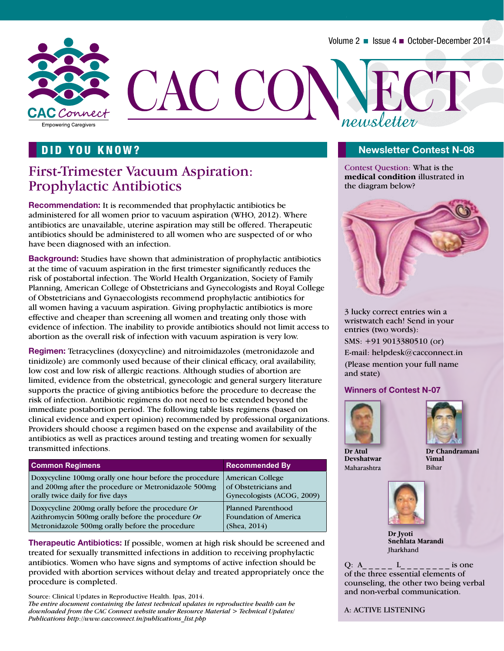

### DID YOU KNOW?

## First-Trimester Vacuum Aspiration: Prophylactic Antibiotics

**Recommendation:** It is recommended that prophylactic antibiotics be administered for all women prior to vacuum aspiration (WHO, 2012). Where antibiotics are unavailable, uterine aspiration may still be offered. Therapeutic antibiotics should be administered to all women who are suspected of or who have been diagnosed with an infection.

**Background:** Studies have shown that administration of prophylactic antibiotics at the time of vacuum aspiration in the first trimester significantly reduces the risk of postabortal infection. The World Health Organization, Society of Family Planning, American College of Obstetricians and Gynecologists and Royal College of Obstetricians and Gynaecologists recommend prophylactic antibiotics for all women having a vacuum aspiration. Giving prophylactic antibiotics is more effective and cheaper than screening all women and treating only those with evidence of infection. The inability to provide antibiotics should not limit access to abortion as the overall risk of infection with vacuum aspiration is very low.

**Regimen:** Tetracyclines (doxycycline) and nitroimidazoles (metronidazole and tinidizole) are commonly used because of their clinical efficacy, oral availability, low cost and low risk of allergic reactions. Although studies of abortion are limited, evidence from the obstetrical, gynecologic and general surgery literature supports the practice of giving antibiotics before the procedure to decrease the risk of infection. Antibiotic regimens do not need to be extended beyond the immediate postabortion period. The following table lists regimens (based on clinical evidence and expert opinion) recommended by professional organizations. Providers should choose a regimen based on the expense and availability of the antibiotics as well as practices around testing and treating women for sexually transmitted infections.

| <b>Common Regimens</b>                                 | <b>Recommended By</b>        |
|--------------------------------------------------------|------------------------------|
| Doxycycline 100mg orally one hour before the procedure | American College             |
| and 200mg after the procedure or Metronidazole 500mg   | of Obstetricians and         |
| orally twice daily for five days                       | Gynecologists (ACOG, 2009)   |
| Doxycycline 200mg orally before the procedure Or       | <b>Planned Parenthood</b>    |
| Azithromycin 500mg orally before the procedure Or      | <b>Foundation of America</b> |
| Metronidazole 500mg orally before the procedure        | (Shea, 2014)                 |

**Therapeutic Antibiotics:** If possible, women at high risk should be screened and treated for sexually transmitted infections in addition to receiving prophylactic antibiotics. Women who have signs and symptoms of active infection should be provided with abortion services without delay and treated appropriately once the procedure is completed.

Source: Clinical Updates in Reproductive Health. Ipas, 2014. *The entire document containing the latest technical updates in reproductive health can be downloaded from the CAC Connect website under Resource Material > Technical Updates/ Publications http://www.cacconnect.in/publications\_list.php*

#### **Newsletter Contest N-08**

Contest Question: What is the **medical condition** illustrated in the diagram below?



3 lucky correct entries win a wristwatch each! Send in your entries (two words):

SMS: +91 9013380510 (or)

E-mail: helpdesk@cacconnect.in (Please mention your full name and state)

#### **Winners of Contest N-07**





**Dr Atul Devshatwar**  Maharashtra

**Dr Chandramani Vimal** Bihar



**Dr Jyoti Snehlata Marandi** Jharkhand

Q:  $A$  \_ \_ \_ \_ L \_ \_ \_ \_ \_ is one of the three essential elements of counseling, the other two being verbal and non-verbal communication.

A: ACTIVE LISTENING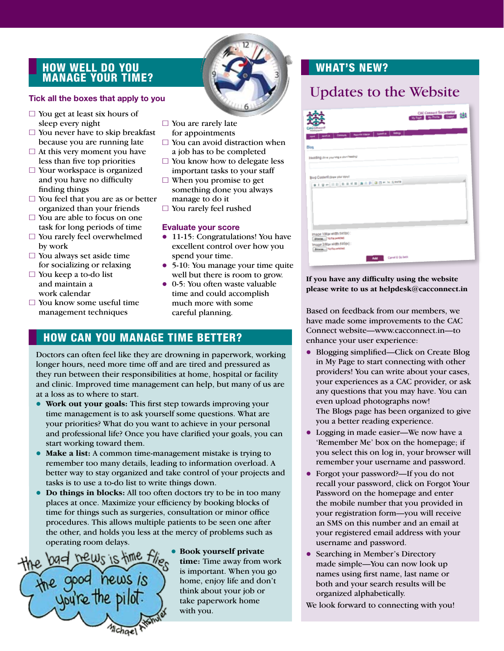### How well do you manage your time?

- $\Box$  You get at least six hours of sleep every night
- $\Box$  You never have to skip breakfast because you are running late
- $\Box$  At this very moment you have less than five top priorities
- $\Box$  Your workspace is organized and you have no difficulty finding things
- $\Box$  You feel that you are as or better organized than your friends
- $\Box$  You are able to focus on one task for long periods of time
- $\Box$  You rarely feel overwhelmed by work
- $\Box$  You always set aside time for socializing or relaxing
- $\Box$  You keep a to-do list and maintain a work calendar
- $\Box$  You know some useful time management techniques
- $\Box$  You are rarely late for appointments
- $\Box$  You can avoid distraction when a job has to be completed
- $\Box$  You know how to delegate less important tasks to your staff
- $\Box$  When you promise to get something done you always manage to do it
- $\Box$  You rarely feel rushed

#### **Evaluate your score**

- 11-15: Congratulations! You have excellent control over how you spend your time.
- 5-10: You manage your time quite well but there is room to grow.
- $\bullet$  0-5: You often waste valuable time and could accomplish much more with some careful planning.

### How can you manage time better?

Doctors can often feel like they are drowning in paperwork, working longer hours, need more time off and are tired and pressured as they run between their responsibilities at home, hospital or facility and clinic. Improved time management can help, but many of us are at a loss as to where to start.

- **.** Work out your goals: This first step towards improving your time management is to ask yourself some questions. What are your priorities? What do you want to achieve in your personal and professional life? Once you have clarified your goals, you can start working toward them.
- **Make a list:** A common time-management mistake is trying to remember too many details, leading to information overload. A better way to stay organized and take control of your projects and tasks is to use a to-do list to write things down.
- **Do things in blocks:** All too often doctors try to be in too many places at once. Maximize your efficiency by booking blocks of time for things such as surgeries, consultation or minor office procedures. This allows multiple patients to be seen one after the other, and holds you less at the mercy of problems such as operating room delays.



**• Book yourself private time:** Time away from work is important. When you go home, enjoy life and don't think about your job or take paperwork home with you.

### WHAT'S NEW?

# Tick all the boxes that apply to you **Tick all the boxes that apply to you** Updates to the Website

| Cennaid                                                                         | <b>CAC Connect Secretariat</b><br>Writings Buy Profile Lingham 2000 |
|---------------------------------------------------------------------------------|---------------------------------------------------------------------|
| AMFIN   Committy   Passica News   Company   Definition                          |                                                                     |
| Biog<br>Heading (Dire your blog a short heading)                                |                                                                     |
| Blog Content (Inaw your stoy)<br>919-100 888 AAP 85 - XX 80                     |                                                                     |
| Image 1(Maxwidth 585px):<br><b>Boxse.</b> Note seems<br>Image 2/Maxwidth 585pd: |                                                                     |
| <b>Downs</b> , Nyfe premd<br>Cancel & On Back<br><b>AM</b>                      |                                                                     |

#### **If you have any difficulty using the website please write to us at helpdesk@cacconnect.in**

Based on feedback from our members, we have made some improvements to the CAC Connect website—www.cacconnect.in—to enhance your user experience:

- Blogging simplified—Click on Create Blog in My Page to start connecting with other providers! You can write about your cases, your experiences as a CAC provider, or ask any questions that you may have. You can even upload photographs now! The Blogs page has been organized to give you a better reading experience.
- Logging in made easier—We now have a 'Remember Me' box on the homepage; if you select this on log in, your browser will remember your username and password.
- l Forgot your password?—If you do not recall your password, click on Forgot Your Password on the homepage and enter the mobile number that you provided in your registration form—you will receive an SMS on this number and an email at your registered email address with your username and password.
- Searching in Member's Directory made simple—You can now look up names using first name, last name or both and your search results will be organized alphabetically.

We look forward to connecting with you!

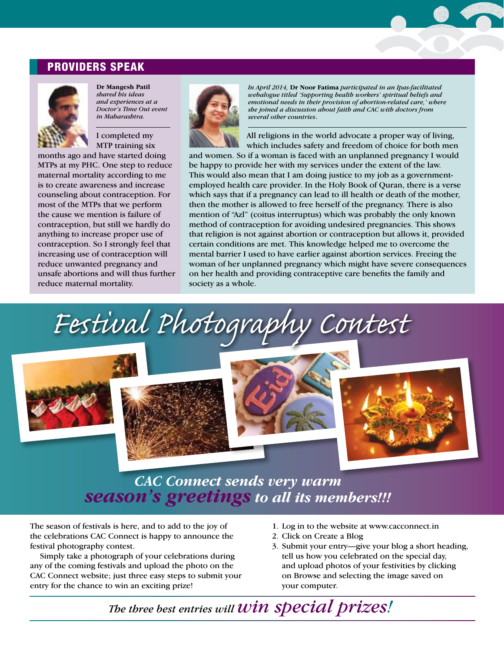### PROVIDERS SPEAK



**Dr Mangesh Patil** *shared his ideas and experiences at a Doctor's Time Out event in Maharashtra.* 

I completed my MTP training six

months ago and have started doing MTPs at my PHC. One step to reduce maternal mortality according to me is to create awareness and increase counseling about contraception. For most of the MTPs that we perform the cause we mention is failure of contraception, but still we hardly do anything to increase proper use of contraception. So I strongly feel that increasing use of contraception will reduce unwanted pregnancy and unsafe abortions and will thus further reduce maternal mortality.



*In April 2014,* **Dr Noor Fatima** *participated in an Ipas-facilitated webalogue titled 'Supporting health workers' spiritual beliefs and emotional needs in their provision of abortion-related care,' where she joined a discussion about faith and CAC with doctors from several other countries*.

All religions in the world advocate a proper way of living, which includes safety and freedom of choice for both men

and women. So if a woman is faced with an unplanned pregnancy I would be happy to provide her with my services under the extent of the law. This would also mean that I am doing justice to my job as a governmentemployed health care provider. In the Holy Book of Quran, there is a verse which says that if a pregnancy can lead to ill health or death of the mother, then the mother is allowed to free herself of the pregnancy. There is also mention of "Azl" (coitus interruptus) which was probably the only known method of contraception for avoiding undesired pregnancies. This shows that religion is not against abortion or contraception but allows it, provided certain conditions are met. This knowledge helped me to overcome the mental barrier I used to have earlier against abortion services. Freeing the woman of her unplanned pregnancy which might have severe consequences on her health and providing contraceptive care benefits the family and society as a whole.

*Festival Photography Contest*







*CAC Connect sends very warm season's greetings to all its members!!!* 

The season of festivals is here, and to add to the joy of the celebrations CAC Connect is happy to announce the festival photography contest.

Simply take a photograph of your celebrations during any of the coming festivals and upload the photo on the CAC Connect website; just three easy steps to submit your entry for the chance to win an exciting prize!

- 1. Log in to the website at www.cacconnect.in
- 2. Click on Create a Blog
- 3. Submit your entry—give your blog a short heading, tell us how you celebrated on the special day, and upload photos of your festivities by clicking on Browse and selecting the image saved on your computer.

*The three best entries will win special prizes!*